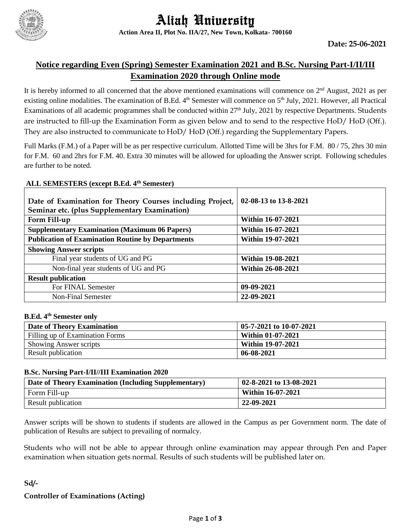

### **Notice regarding Even (Spring) Semester Examination 2021 and B.Sc. Nursing Part-I/II/III Examination 2020 through Online mode**

It is hereby informed to all concerned that the above mentioned examinations will commence on 2<sup>nd</sup> August, 2021 as per existing online modalities. The examination of B.Ed. 4<sup>th</sup> Semester will commence on 5<sup>th</sup> July, 2021. However, all Practical Examinations of all academic programmes shall be conducted within 27<sup>th</sup> July, 2021 by respective Departments. Students are instructed to fill-up the Examination Form as given below and to send to the respective HoD/ HoD (Off.). They are also instructed to communicate to HoD/ HoD (Off.) regarding the Supplementary Papers.

Full Marks (F.M.) of a Paper will be as per respective curriculum. Allotted Time will be 3hrs for F.M. 80 / 75, 2hrs 30 min for F.M. 60 and 2hrs for F.M. 40. Extra 30 minutes will be allowed for uploading the Answer script. Following schedules are further to be noted.

#### **ALL SEMESTERS (except B.Ed. 4th Semester)**

| Date of Examination for Theory Courses including Project,<br>Seminar etc. (plus Supplementary Examination) | 02-08-13 to 13-8-2021    |
|------------------------------------------------------------------------------------------------------------|--------------------------|
| Form Fill-up                                                                                               | <b>Within 16-07-2021</b> |
| <b>Supplementary Examination (Maximum 06 Papers)</b>                                                       | <b>Within 16-07-2021</b> |
| <b>Publication of Examination Routine by Departments</b>                                                   | <b>Within 19-07-2021</b> |
| <b>Showing Answer scripts</b>                                                                              |                          |
| Final year students of UG and PG                                                                           | <b>Within 19-08-2021</b> |
| Non-final year students of UG and PG                                                                       | <b>Within 26-08-2021</b> |
| <b>Result publication</b>                                                                                  |                          |
| For FINAL Semester                                                                                         | 09-09-2021               |
| Non-Final Semester                                                                                         | 22-09-2021               |

#### **B.Ed. 4th Semester only**

| Date of Theory Examination      | 05-7-2021 to 10-07-2021  |
|---------------------------------|--------------------------|
| Filling up of Examination Forms | Within 01-07-2021        |
| <b>Showing Answer scripts</b>   | <b>Within 19-07-2021</b> |
| Result publication              | 06-08-2021               |

#### **B.Sc. Nursing Part-I/II//III Examination 2020**

| Date of Theory Examination (Including Supplementary) | 02-8-2021 to 13-08-2021  |
|------------------------------------------------------|--------------------------|
| Form Fill-up                                         | <b>Within 16-07-2021</b> |
| Result publication                                   | 22-09-2021               |

Answer scripts will be shown to students if students are allowed in the Campus as per Government norm. The date of publication of Results are subject to prevailing of normalcy.

Students who will not be able to appear through online examination may appear through Pen and Paper examination when situation gets normal. Results of such students will be published later on.

# **Sd/- Controller of Examinations (Acting)**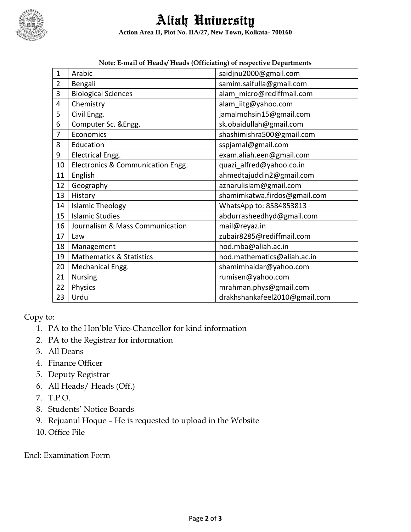

Aliah University **Action Area II, Plot No. IIA/27, New Town, Kolkata- 700160**

|                | Twic. E-mail of Heaus Heaus (Officialing) of respective Departments |                               |  |  |  |
|----------------|---------------------------------------------------------------------|-------------------------------|--|--|--|
| $\mathbf{1}$   | Arabic                                                              | saidjnu2000@gmail.com         |  |  |  |
| $\overline{2}$ | Bengali                                                             | samim.saifulla@gmail.com      |  |  |  |
| 3              | <b>Biological Sciences</b>                                          | alam micro@rediffmail.com     |  |  |  |
| 4              | Chemistry                                                           | alam_iitg@yahoo.com           |  |  |  |
| 5              | Civil Engg.                                                         | jamalmohsin15@gmail.com       |  |  |  |
| 6              | Computer Sc. & Engg.                                                | sk.obaidullah@gmail.com       |  |  |  |
| 7              | Economics                                                           | shashimishra500@gmail.com     |  |  |  |
| 8              | Education                                                           | sspjamal@gmail.com            |  |  |  |
| 9              | Electrical Engg.                                                    | exam.aliah.een@gmail.com      |  |  |  |
| 10             | Electronics & Communication Engg.                                   | quazi_alfred@yahoo.co.in      |  |  |  |
| 11             | English                                                             | ahmedtajuddin2@gmail.com      |  |  |  |
| 12             | Geography                                                           | aznarulislam@gmail.com        |  |  |  |
| 13             | History                                                             | shamimkatwa.firdos@gmail.com  |  |  |  |
| 14             | <b>Islamic Theology</b>                                             | WhatsApp to: 8584853813       |  |  |  |
| 15             | <b>Islamic Studies</b>                                              | abdurrasheedhyd@gmail.com     |  |  |  |
| 16             | Journalism & Mass Communication                                     | mail@reyaz.in                 |  |  |  |
| 17             | Law                                                                 | zubair8285@rediffmail.com     |  |  |  |
| 18             | Management                                                          | hod.mba@aliah.ac.in           |  |  |  |
| 19             | <b>Mathematics &amp; Statistics</b>                                 | hod.mathematics@aliah.ac.in   |  |  |  |
| 20             | Mechanical Engg.                                                    | shamimhaidar@yahoo.com        |  |  |  |
| 21             | <b>Nursing</b>                                                      | rumisen@yahoo.com             |  |  |  |
| 22             | Physics                                                             | mrahman.phys@gmail.com        |  |  |  |
| 23             | Urdu                                                                | drakhshankafeel2010@gmail.com |  |  |  |

**Note: E-mail of Heads/ Heads (Officiating) of respective Departments**

Copy to:

- 1. PA to the Hon'ble Vice-Chancellor for kind information
- 2. PA to the Registrar for information
- 3. All Deans
- 4. Finance Officer
- 5. Deputy Registrar
- 6. All Heads/ Heads (Off.)
- 7. T.P.O.
- 8. Students' Notice Boards
- 9. Rejuanul Hoque He is requested to upload in the Website
- 10. Office File

Encl: Examination Form